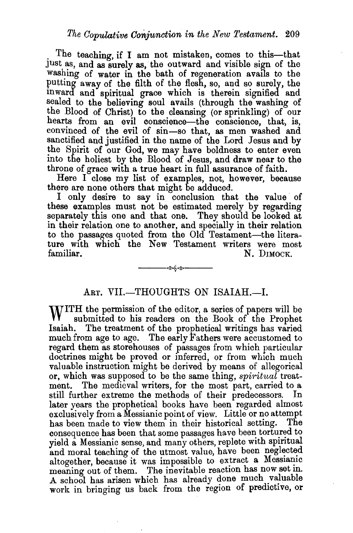The teaching, if I am not mistaken, comes to this—that JUst as, and as surely as, the outward and visible sign of the washing of water in the bath of regeneration avails to the putting away of the filth of the flesh, so, and so surely, the mward and spiritual grace which is therein signified and sealed to the believing soul avails (through the washing of the Blood of Christ) to the cleansing (or sprinkling) of our hearts from an evil conscience—the conscience, that, is, convinced of the evil of sin-so that, as men washed and sanctified and justified in the name of the Lord Jesus and by the Spirit of our God, we may have boldness to enter even into the holiest by the Blood of Jesus, and draw near to the throne of grace with a true heart in full assurance of faith.

Here I close my list of examples, not, however, because there are none others that might be adduced.

I only desire to say in conclusion that the value of these examples must not be estimated merely by regarding separately this one and that one. They should be looked at in their relation one to another, and specially in their relation to the passages quoted from the Old Testament-the literature with which the New Testament writers were most familiar. N. DIMOCK.

## ART. VII.-THOUGHTS ON ISAIAH.--I.

-≪∳≪–

WITH the permission of the editor, a series of papers will be submitted to his reader. submitted to his readers on the Book of the Prophet Isaiah. The treatment of the prophetical writings has varied much from age to age. The early Fathers were accustomed to regard them as storehouses of passages from which particular doctrines might be proved or inferred, or from which much valuable instruction might be derived by means of allegorical or, which was supposed to be the same thing, *spiritual* treatment. The medieval writers, for the most part, carried to a still further extreme the methods of their predecessors. In later years the prophetical books have been regarded almost exclusively from a Messianic point of view. Little or no attempt has been made to view them in their historical setting. The consequence has been that some passages have been tortured to yield a Messianic sense, and many others, replete with spiritual and moral teaching of the utmost value, have been neglected altogether, because it was impossible to extract a Messianic meaning out of them. The inevitable reaction has now set in. A school has arisen which has already done much valuable work in bringing us back from the region of predictive, or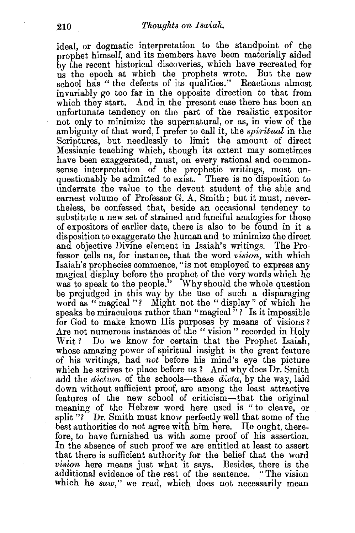ideal, or dogmatic interpretation to the standpoint of the prophet himself, and its members have been materially aided by the recent historical discoveries, which have recreated for us the epoch at which the prophets wrote. But the new school has " the defects of its qualities." Reactions almost invariably go too far in the opposite direction to that from which they start. And in the present case there has been an unfortunate tendency on the part of the realistic expositor not only to minimize the supernatural, or as, in view of the ambiguity of that word, I prefer to call it, the *spiritual* in the Scriptures, but needlessly to limit the amount of direct Messianic teaching which, though its extent may sometimes have been exaggerated, must, on every rational and commonsense interpretation of the prophetic writings, most unquestionably be admitted to exist. There is no disposition to underrate the value to the devout student of the able and earnest volume of Professor G. A. Smith; but it must, nevertheless, be confessed that, beside an occasional tendency to substitute a new set of strained and fanciful analogies for those of expositors of earlier date, there is also to be found in it a disposition to exaggerate the human and to minimize the direct and objective Divine element in Isaiah's writings. The Professor tells us, for instance, that the word *vision,* with which Isaiah's prophecies commence, "is not employed to express any magical display before the prophet of the very words which he was to speak to the people." Why should the whole question be prejudged in this way by the use of such a disparaging word as " magical "? Might not the " display" of which he speaks be miraculous rather than "magical"? Is it impossible for God to make known His purposes by means of visions? Are not numerous instances of the " vision " recorded in Holy Writ? Do we know for certain that the Prophet Isaiah, whose amazing power of spiritual insight is the great feature of his writings, had *not* before his mind's eye the picture which he strives to place before us ? And why does Dr. Smith add the *dictum* of the schools—these *dicta*, by the way, laid down without sufficient proof, are among the least attractive features of the new school of criticism-that the original meaning of the Hebrew word here used is "to cleave, or split "?" Dr. Smith must know perfectly well that some of the best authorities do not agree with him here. He ought, therefore, to have furnished us with some proof of his assertion. In the absence of such proof we are entitled at least to assert that there is sufficient authority for the belief that the word *vision* here means just what it says. Besides, there is the additional evidence of the rest of the sentence. "The vision which he *saw*," we read, which does not necessarily mean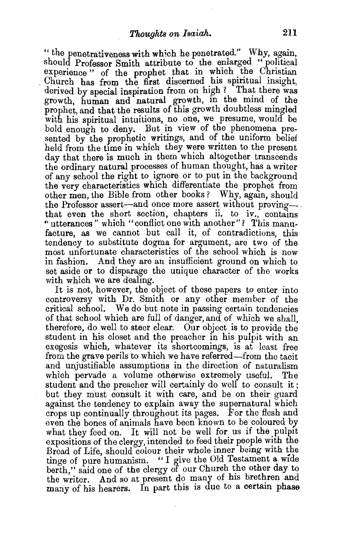" the penetrativeness with wh1ch he penetrated." Why, again, should Professor Smith attribute to the enlarged " political experience" of the prophet that in which the Christian . Church has from the first discerned his spiritual insight, derived by special inspiration from on high? That there was growth, human and natural growth, in the mind of the prophet, and that the results of this growth doubtless mingled with his spiritual intuitions, no one, we presume, would be bold enough to deny. But in view of the phenomena presented by the prophetic writings, and of the uniform belief held from the time in which they were written to the present day that there is much in them which altogether transcends the ordinary natural processes of human thought, has a writer of any school the right to ignore or to put in the background the very characteristics which differentiate the prophet from other men, the Bible from other books *?* Why, again, should the Professor assert--and once more assert without provingthat even the short section, chapters ii. to iv., contains "utterances" which "conflict one with another"? This manufacture, as we cannot but call it, of contradictions, this tendency to substitute dogma for argument, are two of the most unfortunate characteristics of the school which is now in fashion. And they are an insufficient ground on which to set aside or to disparage the unique character of the works with which we are dealing.

It is not, however, the object of these papers to enter into controversy with Dr. Smith or any other member of the critical school. We do but note in passing certain tendencies of that school which are full of danger, and of which we shall, therefore, do well to steer clear. Our object is to provide the student in his closet and the preacher in his pulpit with an exegesis which, whatever its shortcomings, is at least free from the grave perils to which we have referred-from the tacit and unjustifiable assumptions in the direction of naturalism which pervade a volume otherwise extremely useful. The student and the preacher will certainly do well to consult it ; but they must consult it with care, and be on their guard against the tendency to explain away the supernatural which crops up continually throughout its pages. For the flesh and even the bones of animals have been known to be coloured by what they feed on. It will not be well for us if the pulpit expositions of the clergy, intended to feed their people with the tinge of pure humanism. "I give the Old Testament a wide berth," said one of the clergy of our Church the other day to the writer. And so at present do many of his brethren and many of his hearers. In part this is due to a certain phase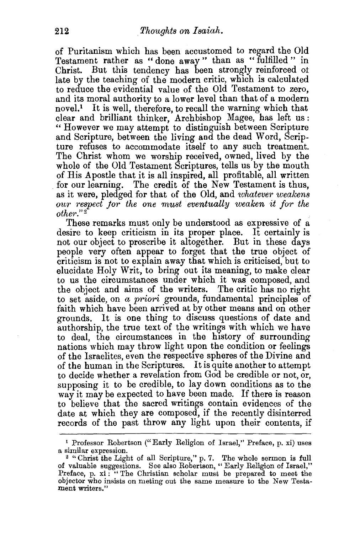of Puritanism which has been accustomed to regard the Old Testament rather as "done away " than as "fulfilled " in Christ. But this tendency has been strongly reinforced ot late by the teaching of the modern critic, which is calculated to reduce the evidential value of the Old Testament to zero, and its moral authority to a lower level than that of a modern novel.<sup>1</sup> It is well, therefore, to recall the warning which that clear and brilliant thinker, Archbishop Magee, has left us: " However we may attempt to distinguish between Scripture and Scripture, between the living and the dead Word, Scripture refuses to accommodate itself to any such treatment. The Christ whom we worship received, owned, lived by the whole of the Old Testament Scriptures, tells us by the mouth of His Apostle that it is all inspired, all profitable, all written for our learning. The credit of the New Testament is thus, as it were, pledged for that of the Old, and *'whatever wealcens our respect jor the one must eventually weaken it for the othm·." <sup>2</sup>*

These remarks must only be understood as expressive of a desire to keep criticism in its proper place. It certainly is not our object to proscribe it altogether. But in these days people very often appear to forget that the true object of criticism is not to explain away that which is criticised, but to elucidate Holy Writ, to bring out its meaning, to make clear to us the circumstances under which it was composed, and the object and aims of the writers. The critic has no right to set aside, on *a priori* grounds, fundamental principles of faith which have been arrived at by other means and on other grounds. It is one thing to discuss questions of date and authorship, the true text of the writings with which we have to deal, the circumstances in the history of surrounding nations which may throw light upon the condition or feelings of the Israelites, even the respective spheres of the Divine and of the human in the Scriptures. It is quite another to attempt to decide whether a revelation from God be credible or not, or, supposing it to be credible, to lay down conditions as to the way it may be expected to have been made. If there is reason to believe that the sacred writings contain evidences of the date at which they are composed, if the recently disinterred records of the past throw any light upon their contents, if

<sup>&</sup>lt;sup>1</sup> Professor Robertson ("Early Religion of Israel," Preface, p. xi) uses a similar expression.

<sup>&</sup>lt;sup>2</sup> "Christ the Light of all Scripture," p. 7. The whole sermon is full of valuabie suggestions. See also Robertson, "Early Religion of Israel," Preface, p. xi : "The Christian scholar must be prepared to meet the objector who insists on meting out the same measure to the New Testament writers."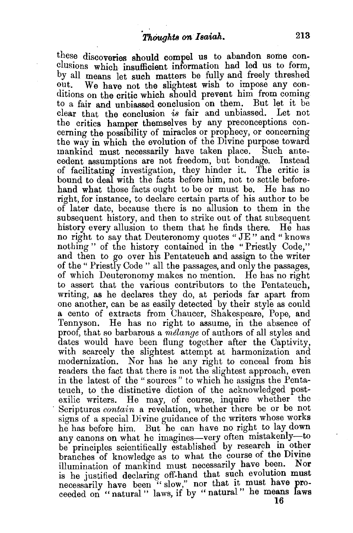these discoveries should compel us to abandon some conclusions which insufficient information had led us to form, by all means let such matters be fully and freely threshed out. We have not the slightest wish to impose any conditions on the critic which should prevent him from coming to a fair and unbiassed conclusion on them. But let it be clear that the conclusion *is* fair and unbiassed. Let not the critics hamper themselves by any preconceptions concerning the possibility of miracles or prophecy, or concerning the way in which the evolution of the Divine purpose toward mankind must necessarily have taken place. Such antecedent assumptions are not freedom, but bondage. Instead of facilitating investigation, they hinder it. The critic is bound to deal with the facts before him, not to settle beforehand what those facts ought to be or must be. He has no right, for instance, to declare certain parts of his author to be of later date, because there is no allusion to them in the subsequent history, and then to strike out of that subsequent history every allusion to them that he finds there. He has no right to say that Deuteronomy quotes "JE" and "knows nothing" of the history contained in the "Priestly Code," and then to go over his Pentateuch and assign to the writer of the" Priestly Code" all the passages, and only the passages, of which Deuteronomy makes no mention. He has no right to assert that the various contributors to the Pentateuch, writing, as he declares they do, at periods far apart from one another, can be as easily detected by their style as could a cento of extracts from Chaucer, Shakespeare, Pope, and Tennyson. He has no right to assume, in the absence of proof, that so barbarous a *melange* of authors of all styles and dates would have been flung together after the Captivity, with scarcely the slightest attempt at harmonization and modernization. Nor has he any right to conceal from his readers the fact that there is not the slightest approach, even in the latest of the "sources" to which he assigns the Pentateuch, to the distinctive diction of the acknowledged postexilic writers. He may, of course, inquire whether the Scriptures *contain* a revelation, whether there be or be not signs of a special Divine guidance of the writers whose works he has before him. But he can have no right to lay down any canons on what he imagines-very often mistakenly-to be principles scientifically established by research in other branches of knowledge as to what the course of the Divine illumination of mankind must necessarily have been. Nor is he justified declaring off-hand that such evolution must necessarily have been "slow," nor that it must have proceeded on " natural " laws if by " natural " he means laws  $\frac{16}{16}$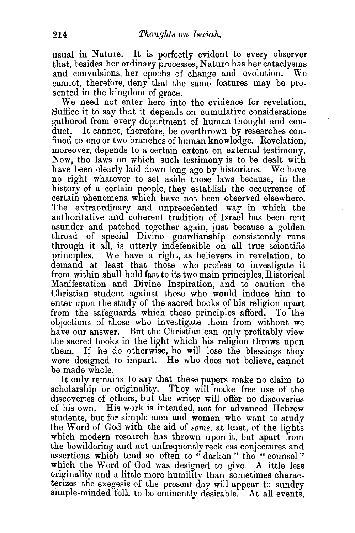usual in Nature. It is perfectly evident to every observer that, besides her ordinary processes, Nature has her cataclysms and convulsions, her epochs of change and evolution. We cannot, therefore, deny that the same features may be presented in the kingdom of grace.

We need not enter here into the evidence for revelation. Suffice it to say that it depends on cumulative considerations gathered from every department of human thought and conduct. It cannot, therefore, be overthrown by researches confined to one or two branches of human knowledge. Revelation, moreover, depends to a certain extent on external testimony. Now, the laws on which such testimony is to be dealt with have been clearly laid down long ago by historians. We have no right whatever to set aside those laws because, in the history of a certain people, they establish the occurrence of certain phenomena which have not been observed elsewhere. The extraordinary and unprecedented way in which the authoritative and coherent tradition of Israel has been rent asunder and patched together again, just because a golden thread of special Divine guardianship consistently runs through it all, is utterly indefensible on all true scientific principles. We have a right, as believers in revelation, to demand at least that those who profess to investigate it from within shall hold fast to its two main principles, Historical Manifestation and Divine Inspiration, and to caution the Christian student against those who would induce him to enter upon the study of the sacred books of his religion apart from the safeguards which these principles afford. To the objections of those who investigate them from without we have our answer. But the Christian can only profitably view the sacred books in the light which his religion throws upon them. If he do otherwise, he will lose the blessings they were designed to impart. He who does not believe, cannot be made whole.

It only remains to say that these papers make no claim to scholarship or originality. They will make free use of the discoveries of others, but the writer will offer no discoveries of his own. His work is intended, not for advanced Hebrew students, but for simple men and women who want to study the Word of God with the aid of *sorne,* at least, of the lights which modern research has thrown upon it, but apart from the bewildering and not unfrequently reckless conjectures and assertions which tend so often to "darken" the "counsel" which the Word of God was designed to give. A little less originality and a little more humility than sometimes charac terizes the exegesis of the present day will appear to sundry simple-minded folk to be eminently desirable. At all events,